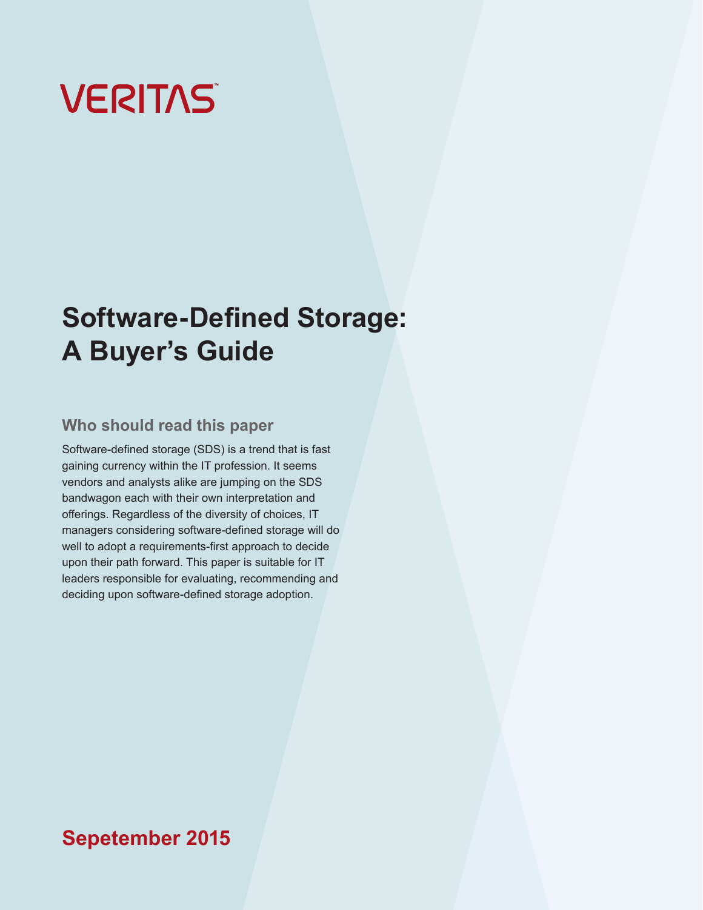# **VERITAS**

## **Software-Defined Storage: A Buyer's Guide**

## **Who should read this paper**

Software-defined storage (SDS) is a trend that is fast gaining currency within the IT profession. It seems vendors and analysts alike are jumping on the SDS bandwagon each with their own interpretation and offerings. Regardless of the diversity of choices, IT managers considering software-defined storage will do well to adopt a requirements-first approach to decide upon their path forward. This paper is suitable for IT leaders responsible for evaluating, recommending and deciding upon software-defined storage adoption.

## **Sepetember 2015**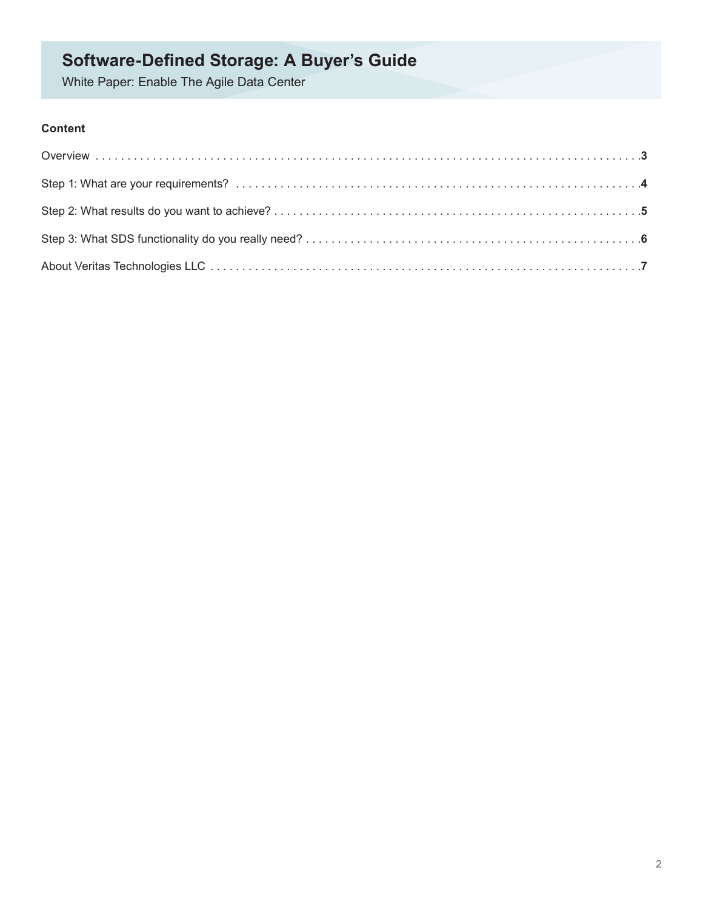White Paper: Enable The Agile Data Center

## **Content**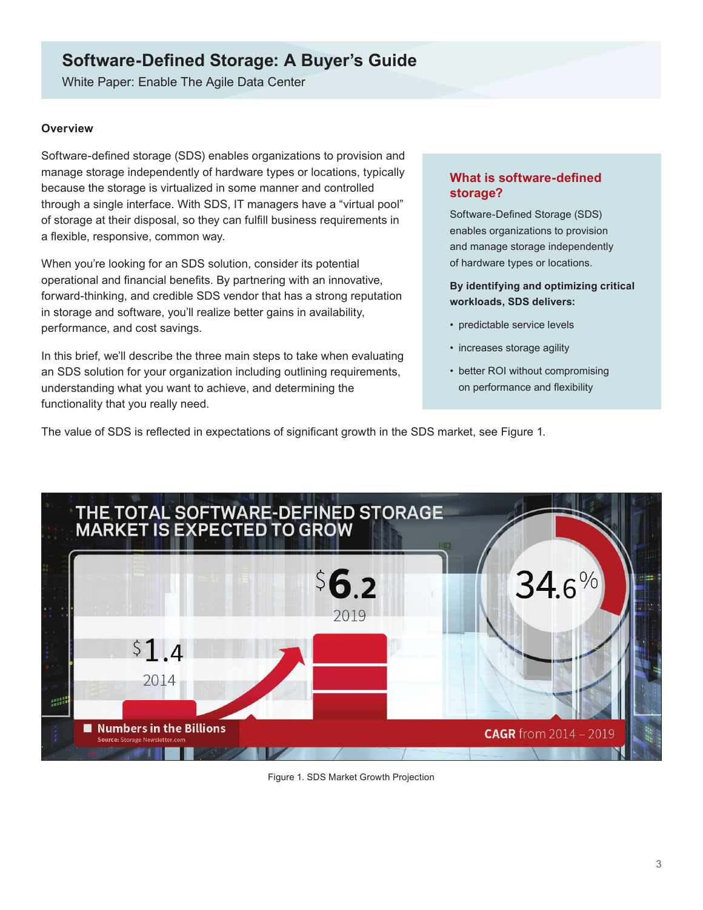<span id="page-2-0"></span>White Paper: Enable The Agile Data Center

#### **Overview**

Software-defined storage (SDS) enables organizations to provision and manage storage independently of hardware types or locations, typically because the storage is virtualized in some manner and controlled through a single interface. With SDS, IT managers have a "virtual pool" of storage at their disposal, so they can fulfill business requirements in a flexible, responsive, common way.

When you're looking for an SDS solution, consider its potential operational and financial benefits. By partnering with an innovative, forward-thinking, and credible SDS vendor that has a strong reputation in storage and software, you'll realize better gains in availability, performance, and cost savings.

In this brief, we'll describe the three main steps to take when evaluating an SDS solution for your organization including outlining requirements, understanding what you want to achieve, and determining the functionality that you really need.

#### **What is software-defined storage?**

Software-Defined Storage (SDS) enables organizations to provision and manage storage independently of hardware types or locations.

#### **By identifying and optimizing critical workloads, SDS delivers:**

- predictable service levels
- increases storage agility
- better ROI without compromising on performance and flexibility

The value of SDS is reflected in expectations of significant growth in the SDS market, see Figure 1.



Figure 1. SDS Market Growth Projection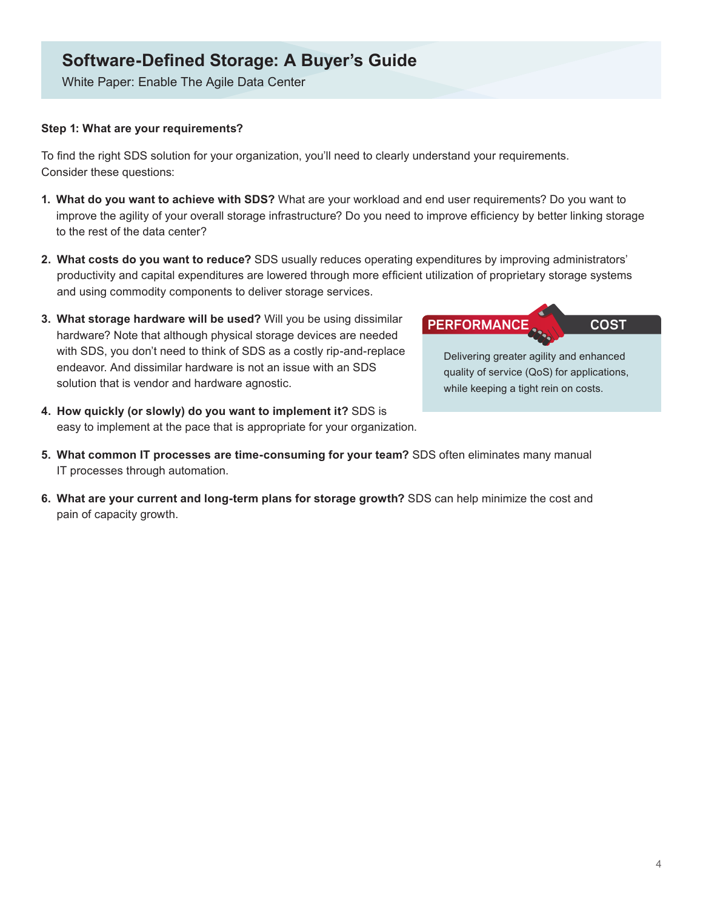<span id="page-3-0"></span>White Paper: Enable The Agile Data Center

#### **Step 1: What are your requirements?**

To find the right SDS solution for your organization, you'll need to clearly understand your requirements. Consider these questions:

- **1. What do you want to achieve with SDS?** What are your workload and end user requirements? Do you want to improve the agility of your overall storage infrastructure? Do you need to improve efficiency by better linking storage to the rest of the data center?
- **2. What costs do you want to reduce?** SDS usually reduces operating expenditures by improving administrators' productivity and capital expenditures are lowered through more efficient utilization of proprietary storage systems and using commodity components to deliver storage services.
- **3. What storage hardware will be used?** Will you be using dissimilar hardware? Note that although physical storage devices are needed with SDS, you don't need to think of SDS as a costly rip-and-replace endeavor. And dissimilar hardware is not an issue with an SDS solution that is vendor and hardware agnostic.
- **4. How quickly (or slowly) do you want to implement it?** SDS is easy to implement at the pace that is appropriate for your organization.

### **PERFORMANCE COST**

Delivering greater agility and enhanced quality of service (QoS) for applications, while keeping a tight rein on costs.

- **5. What common IT processes are time-consuming for your team?** SDS often eliminates many manual IT processes through automation.
- **6. What are your current and long-term plans for storage growth?** SDS can help minimize the cost and pain of capacity growth.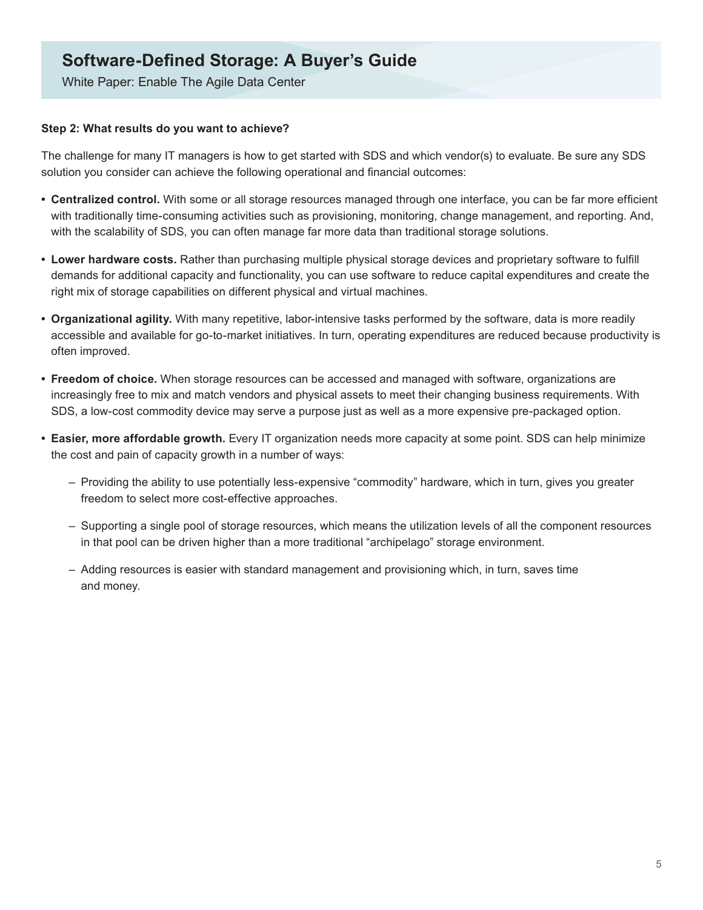<span id="page-4-0"></span>White Paper: Enable The Agile Data Center

#### **Step 2: What results do you want to achieve?**

The challenge for many IT managers is how to get started with SDS and which vendor(s) to evaluate. Be sure any SDS solution you consider can achieve the following operational and financial outcomes:

- **Centralized control.** With some or all storage resources managed through one interface, you can be far more efficient with traditionally time-consuming activities such as provisioning, monitoring, change management, and reporting. And, with the scalability of SDS, you can often manage far more data than traditional storage solutions.
- **Lower hardware costs.** Rather than purchasing multiple physical storage devices and proprietary software to fulfill demands for additional capacity and functionality, you can use software to reduce capital expenditures and create the right mix of storage capabilities on different physical and virtual machines.
- **Organizational agility.** With many repetitive, labor-intensive tasks performed by the software, data is more readily accessible and available for go-to-market initiatives. In turn, operating expenditures are reduced because productivity is often improved.
- **Freedom of choice.** When storage resources can be accessed and managed with software, organizations are increasingly free to mix and match vendors and physical assets to meet their changing business requirements. With SDS, a low-cost commodity device may serve a purpose just as well as a more expensive pre-packaged option.
- **Easier, more affordable growth.** Every IT organization needs more capacity at some point. SDS can help minimize the cost and pain of capacity growth in a number of ways:
	- Providing the ability to use potentially less-expensive "commodity" hardware, which in turn, gives you greater freedom to select more cost-effective approaches.
	- Supporting a single pool of storage resources, which means the utilization levels of all the component resources in that pool can be driven higher than a more traditional "archipelago" storage environment.
	- Adding resources is easier with standard management and provisioning which, in turn, saves time and money.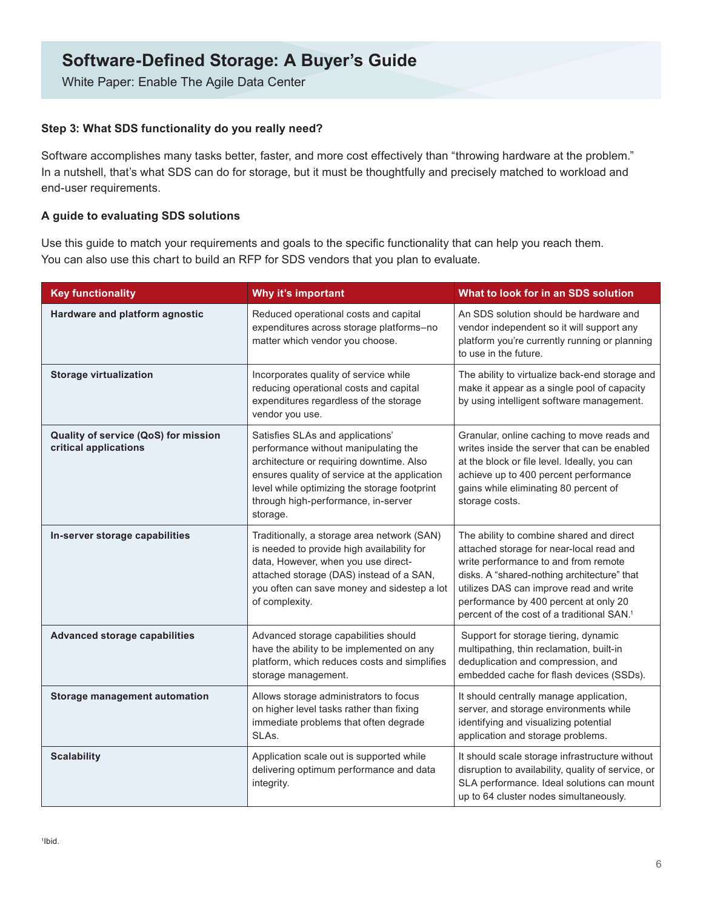White Paper: Enable The Agile Data Center

#### **Step 3: What SDS functionality do you really need?**

Software accomplishes many tasks better, faster, and more cost effectively than "throwing hardware at the problem." In a nutshell, that's what SDS can do for storage, but it must be thoughtfully and precisely matched to workload and end-user requirements.

#### **A guide to evaluating SDS solutions**

Use this guide to match your requirements and goals to the specific functionality that can help you reach them. You can also use this chart to build an RFP for SDS vendors that you plan to evaluate.

| <b>Key functionality</b>                                      | Why it's important                                                                                                                                                                                                                                                       | What to look for in an SDS solution                                                                                                                                                                                                                                                                                       |
|---------------------------------------------------------------|--------------------------------------------------------------------------------------------------------------------------------------------------------------------------------------------------------------------------------------------------------------------------|---------------------------------------------------------------------------------------------------------------------------------------------------------------------------------------------------------------------------------------------------------------------------------------------------------------------------|
| Hardware and platform agnostic                                | Reduced operational costs and capital<br>expenditures across storage platforms-no<br>matter which vendor you choose.                                                                                                                                                     | An SDS solution should be hardware and<br>vendor independent so it will support any<br>platform you're currently running or planning<br>to use in the future.                                                                                                                                                             |
| <b>Storage virtualization</b>                                 | Incorporates quality of service while<br>reducing operational costs and capital<br>expenditures regardless of the storage<br>vendor you use.                                                                                                                             | The ability to virtualize back-end storage and<br>make it appear as a single pool of capacity<br>by using intelligent software management.                                                                                                                                                                                |
| Quality of service (QoS) for mission<br>critical applications | Satisfies SLAs and applications'<br>performance without manipulating the<br>architecture or requiring downtime. Also<br>ensures quality of service at the application<br>level while optimizing the storage footprint<br>through high-performance, in-server<br>storage. | Granular, online caching to move reads and<br>writes inside the server that can be enabled<br>at the block or file level. Ideally, you can<br>achieve up to 400 percent performance<br>gains while eliminating 80 percent of<br>storage costs.                                                                            |
| In-server storage capabilities                                | Traditionally, a storage area network (SAN)<br>is needed to provide high availability for<br>data, However, when you use direct-<br>attached storage (DAS) instead of a SAN,<br>you often can save money and sidestep a lot<br>of complexity.                            | The ability to combine shared and direct<br>attached storage for near-local read and<br>write performance to and from remote<br>disks. A "shared-nothing architecture" that<br>utilizes DAS can improve read and write<br>performance by 400 percent at only 20<br>percent of the cost of a traditional SAN. <sup>1</sup> |
| <b>Advanced storage capabilities</b>                          | Advanced storage capabilities should<br>have the ability to be implemented on any<br>platform, which reduces costs and simplifies<br>storage management.                                                                                                                 | Support for storage tiering, dynamic<br>multipathing, thin reclamation, built-in<br>deduplication and compression, and<br>embedded cache for flash devices (SSDs).                                                                                                                                                        |
| Storage management automation                                 | Allows storage administrators to focus<br>on higher level tasks rather than fixing<br>immediate problems that often degrade<br>SLAs.                                                                                                                                     | It should centrally manage application,<br>server, and storage environments while<br>identifying and visualizing potential<br>application and storage problems.                                                                                                                                                           |
| <b>Scalability</b>                                            | Application scale out is supported while<br>delivering optimum performance and data<br>integrity.                                                                                                                                                                        | It should scale storage infrastructure without<br>disruption to availability, quality of service, or<br>SLA performance. Ideal solutions can mount<br>up to 64 cluster nodes simultaneously.                                                                                                                              |